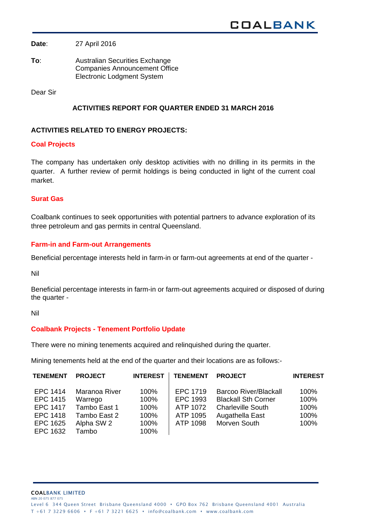**Date**: 27 April 2016

**To**: Australian Securities Exchange Companies Announcement Office Electronic Lodgment System

Dear Sir

## **ACTIVITIES REPORT FOR QUARTER ENDED 31 MARCH 2016**

### **ACTIVITIES RELATED TO ENERGY PROJECTS:**

#### **Coal Projects**

The company has undertaken only desktop activities with no drilling in its permits in the quarter. A further review of permit holdings is being conducted in light of the current coal market.

### **Surat Gas**

Coalbank continues to seek opportunities with potential partners to advance exploration of its three petroleum and gas permits in central Queensland.

### **Farm-in and Farm-out Arrangements**

Beneficial percentage interests held in farm-in or farm-out agreements at end of the quarter -

Nil

Beneficial percentage interests in farm-in or farm-out agreements acquired or disposed of during the quarter -

Nil

### **Coalbank Projects - Tenement Portfolio Update**

There were no mining tenements acquired and relinquished during the quarter.

Mining tenements held at the end of the quarter and their locations are as follows:-

| <b>TENEMENT</b> | <b>PROJECT</b> | <b>INTEREST</b> | <b>TENEMENT</b> | <b>PROJECT</b>               | <b>INTEREST</b> |
|-----------------|----------------|-----------------|-----------------|------------------------------|-----------------|
| EPC 1414        | Maranoa River  | 100%            | EPC 1719        | <b>Barcoo River/Blackall</b> | 100%            |
| EPC 1415        | Warrego        | 100%            | EPC 1993        | <b>Blackall Sth Corner</b>   | 100%            |
| <b>EPC 1417</b> | Tambo East 1   | 100%            | ATP 1072        | <b>Charleville South</b>     | 100%            |
| EPC 1418        | Tambo East 2   | 100%            | ATP 1095        | Augathella East              | 100%            |
| EPC 1625        | Alpha SW 2     | 100%            | ATP 1098        | Morven South                 | 100%            |
| EPC 1632        | Tambo          | 100%            |                 |                              |                 |

COALBANK LIMITED ABN 20 075 877 075 Level 6 344 Queen Street Brisbane Queensland 4000 • GPO Box 762 Brisbane Queensland 4001 Australia T +61 7 3229 6606 • F +61 7 3221 6625 • info@coalbank.com • www.coalbank.com